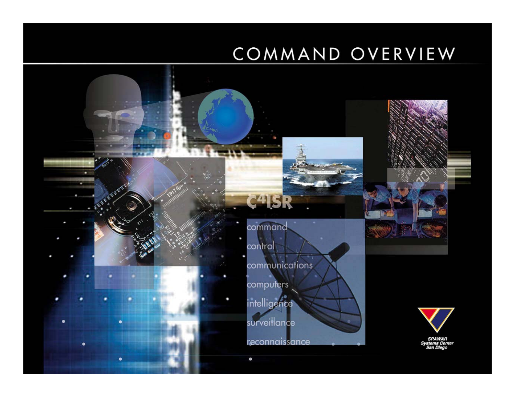#### COMMAND OVERVIEW

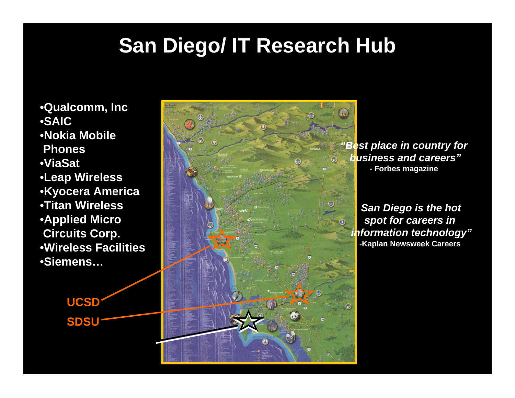### **San Diego/ IT Research Hub**

•**Qualcomm, Inc** •**SAIC**•**Nokia Mobile Phones**•**ViaSat**•**Leap Wireless** •**Kyocera America** •**Titan Wireless** •**Applied Micro Circuits Corp.** •**Wireless Facilities** •**Siemens…**

> **SDSUUCSD**



*"Best place in country for business and careers"* **- Forbes magazine**

*"San Diego is the hot spot for careers in information technology"* -**Kaplan Newsweek Careers**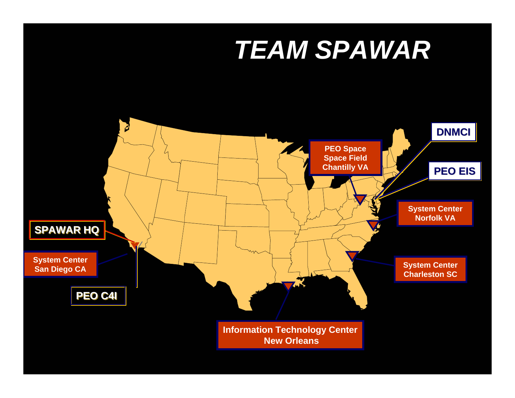## *TEAM SPAWAR*

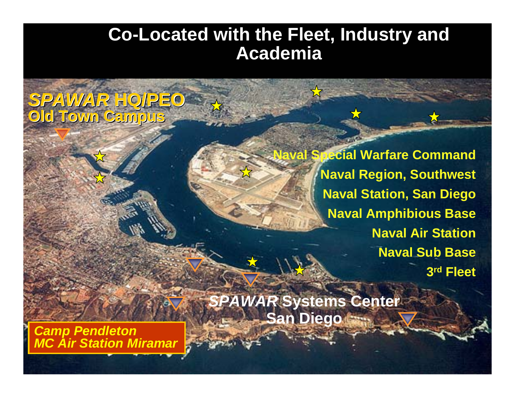#### **Co-Located with the Fleet, Industry and Academia**

*SPAWAR* **HQ/PEO** *SPAWAR* **HQ/PEO Old Town Campus Old Town Campus Old Town Campus**

> **Naval Special Warfare Command Naval Region, Southwest Naval Station, San Diego Naval Amphibious Base Naval Air Station Naval Sub Base 3rd Fleet**

*SPAWAR* **Systems Center San Diego** 

*Camp Pendleton MC Air Station Miramar*